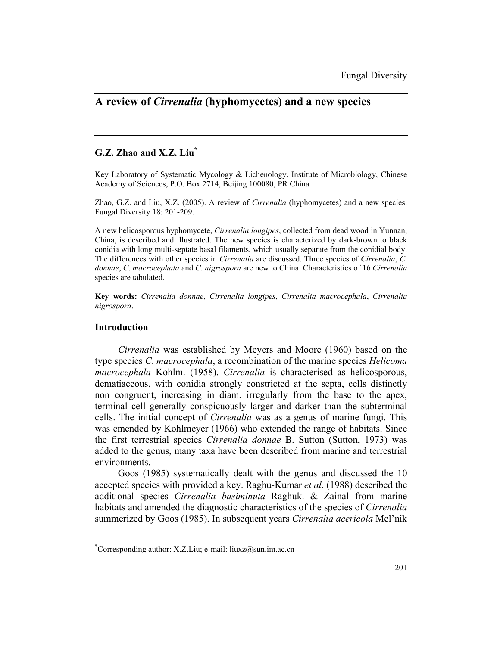# **A review of** *Cirrenalia* **(hyphomycetes) and a new species**

## **G.Z. Zhao and X.Z. Liu\***

Key Laboratory of Systematic Mycology & Lichenology, Institute of Microbiology, Chinese Academy of Sciences, P.O. Box 2714, Beijing 100080, PR China

Zhao, G.Z. and Liu, X.Z. (2005). A review of *Cirrenalia* (hyphomycetes) and a new species. Fungal Diversity 18: 201-209.

A new helicosporous hyphomycete, *Cirrenalia longipes*, collected from dead wood in Yunnan, China, is described and illustrated. The new species is characterized by dark-brown to black conidia with long multi-septate basal filaments, which usually separate from the conidial body. The differences with other species in *Cirrenalia* are discussed. Three species of *Cirrenalia*, *C*. *donnae*, *C*. *macrocephala* and *C*. *nigrospora* are new to China. Characteristics of 16 *Cirrenalia* species are tabulated.

**Key words:** *Cirrenalia donnae*, *Cirrenalia longipes*, *Cirrenalia macrocephala*, *Cirrenalia nigrospora*.

## **Introduction**

 $\overline{a}$ 

*Cirrenalia* was established by Meyers and Moore (1960) based on the type species *C*. *macrocephala*, a recombination of the marine species *Helicoma macrocephala* Kohlm. (1958). *Cirrenalia* is characterised as helicosporous, dematiaceous, with conidia strongly constricted at the septa, cells distinctly non congruent, increasing in diam. irregularly from the base to the apex, terminal cell generally conspicuously larger and darker than the subterminal cells. The initial concept of *Cirrenalia* was as a genus of marine fungi. This was emended by Kohlmeyer (1966) who extended the range of habitats. Since the first terrestrial species *Cirrenalia donnae* B. Sutton (Sutton, 1973) was added to the genus, many taxa have been described from marine and terrestrial environments.

Goos (1985) systematically dealt with the genus and discussed the 10 accepted species with provided a key. Raghu-Kumar *et al*. (1988) described the additional species *Cirrenalia basiminuta* Raghuk. & Zainal from marine habitats and amended the diagnostic characteristics of the species of *Cirrenalia* summerized by Goos (1985). In subsequent years *Cirrenalia acericola* Mel'nik

<sup>\*</sup> Corresponding author: X.Z.Liu; e-mail: liuxz@sun.im.ac.cn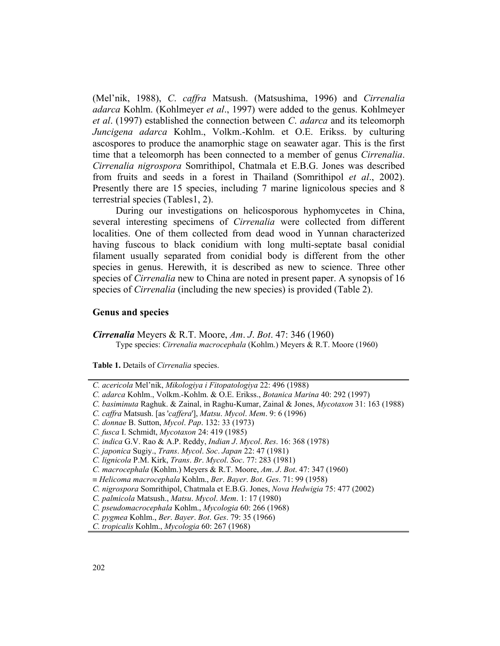(Mel'nik, 1988), *C*. *caffra* Matsush. (Matsushima, 1996) and *Cirrenalia adarca* Kohlm. (Kohlmeyer *et al*., 1997) were added to the genus. Kohlmeyer *et al*. (1997) established the connection between *C*. *adarca* and its teleomorph *Juncigena adarca* Kohlm., Volkm.-Kohlm. et O.E. Erikss. by culturing ascospores to produce the anamorphic stage on seawater agar. This is the first time that a teleomorph has been connected to a member of genus *Cirrenalia*. *Cirrenalia nigrospora* Somrithipol, Chatmala et E.B.G. Jones was described from fruits and seeds in a forest in Thailand (Somrithipol *et al*., 2002). Presently there are 15 species, including 7 marine lignicolous species and 8 terrestrial species (Tables1, 2).

During our investigations on helicosporous hyphomycetes in China, several interesting specimens of *Cirrenalia* were collected from different localities. One of them collected from dead wood in Yunnan characterized having fuscous to black conidium with long multi-septate basal conidial filament usually separated from conidial body is different from the other species in genus. Herewith, it is described as new to science. Three other species of *Cirrenalia* new to China are noted in present paper. A synopsis of 16 species of *Cirrenalia* (including the new species) is provided (Table 2).

### **Genus and species**

*Cirrenalia* Meyers & R.T. Moore, *Am*. *J*. *Bot*. 47: 346 (1960) Type species: *Cirrenalia macrocephala* (Kohlm.) Meyers & R.T. Moore (1960)

**Table 1.** Details of *Cirrenalia* species.

- *C. caffra* Matsush. [as '*caffera*'], *Matsu*. *Mycol*. *Mem*. 9: 6 (1996)
- *C. donnae* B. Sutton, *Mycol*. *Pap*. 132: 33 (1973)

*C. acericola* Mel'nik, *Mikologiya i Fitopatologiya* 22: 496 (1988)

*C. adarca* Kohlm., Volkm.-Kohlm. & O.E. Erikss., *Botanica Marina* 40: 292 (1997)

*C. basiminuta* Raghuk. & Zainal, in Raghu-Kumar, Zainal & Jones, *Mycotaxon* 31: 163 (1988)

*C. fusca* I. Schmidt, *Mycotaxon* 24: 419 (1985)

*C. indica* G.V. Rao & A.P. Reddy, *Indian J*. *Mycol*. *Res*. 16: 368 (1978)

*C. japonica* Sugiy., *Trans*. *Mycol*. *Soc*. *Japan* 22: 47 (1981)

*C. lignicola* P.M. Kirk, *Trans*. *Br*. *Mycol*. *Soc*. 77: 283 (1981)

*C. macrocephala* (Kohlm.) Meyers & R.T. Moore, *Am*. *J*. *Bot*. 47: 347 (1960)

<sup>≡</sup> *Helicoma macrocephala* Kohlm., *Ber*. *Bayer*. *Bot*. *Ges*. 71: 99 (1958)

*C. nigrospora* Somrithipol, Chatmala et E.B.G. Jones, *Nova Hedwigia* 75: 477 (2002)

*C. palmicola* Matsush., *Matsu*. *Mycol*. *Mem*. 1: 17 (1980)

*C. pseudomacrocephala* Kohlm., *Mycologia* 60: 266 (1968)

*C. pygmea* Kohlm., *Ber*. *Bayer*. *Bot*. *Ges*. 79: 35 (1966)

*C. tropicalis* Kohlm., *Mycologia* 60: 267 (1968)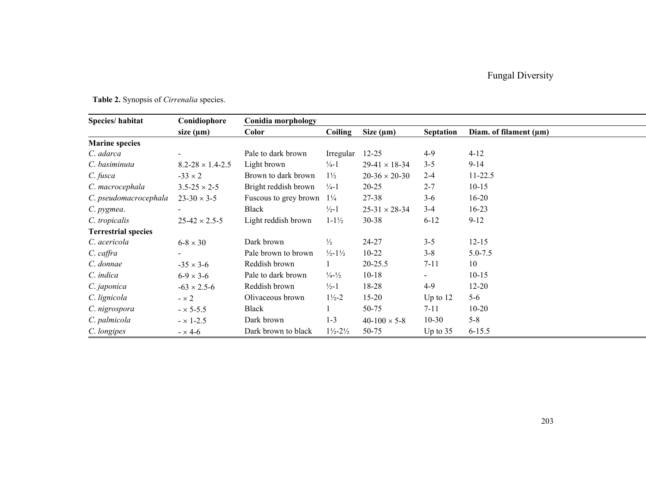# Fungal Diversity

| Species/habitat            | Conidiophore                | Conidia morphology    |                                |                      |                  |                             |
|----------------------------|-----------------------------|-----------------------|--------------------------------|----------------------|------------------|-----------------------------|
|                            | size $(\mu m)$              | Color                 | Coiling                        | Size $(\mu m)$       | <b>Septation</b> | Diam. of filament $(\mu m)$ |
| <b>Marine species</b>      |                             |                       |                                |                      |                  |                             |
| C. adarca                  |                             | Pale to dark brown    | Irregular                      | $12 - 25$            | $4-9$            | $4 - 12$                    |
| C. basiminuta              | $8.2 - 28 \times 1.4 - 2.5$ | Light brown           | $\frac{1}{4}$ -1               | $29-41 \times 18-34$ | $3 - 5$          | $9 - 14$                    |
| C. fusca                   | $-33 \times 2$              | Brown to dark brown   | $1\frac{1}{2}$                 | $20-36 \times 20-30$ | $2 - 4$          | $11 - 22.5$                 |
| C. macrocephala            | $3.5 - 25 \times 2 - 5$     | Bright reddish brown  | $\frac{1}{4}$ -1               | $20 - 25$            | $2 - 7$          | $10 - 15$                   |
| C. pseudomacrocephala      | $23-30 \times 3-5$          | Fuscous to grey brown | $1\frac{1}{4}$                 | 27-38                | $3-6$            | $16 - 20$                   |
| C. pygmea.                 |                             | Black                 | $\frac{1}{2}$ -1               | $25-31 \times 28-34$ | $3 - 4$          | $16 - 23$                   |
| C. tropicalis              | $25-42 \times 2.5-5$        | Light reddish brown   | $1 - 1\frac{1}{2}$             | $30 - 38$            | $6-12$           | $9-12$                      |
| <b>Terrestrial species</b> |                             |                       |                                |                      |                  |                             |
| C. acericola               | $6-8 \times 30$             | Dark brown            | $\frac{1}{2}$                  | 24-27                | $3 - 5$          | $12 - 15$                   |
| $C.$ caffra                |                             | Pale brown to brown   | $\frac{1}{2}$ -1 $\frac{1}{2}$ | $10 - 22$            | $3 - 8$          | $5.0 - 7.5$                 |
| C. donnae                  | $-35 \times 3 - 6$          | Reddish brown         |                                | $20 - 25.5$          | $7 - 11$         | 10                          |
| C. indica                  | $6-9 \times 3-6$            | Pale to dark brown    | $\frac{1}{4} - \frac{1}{2}$    | $10 - 18$            | $\blacksquare$   | $10-15$                     |
| C. japonica                | $-63 \times 2.5 - 6$        | Reddish brown         | $\frac{1}{2}$ -1               | 18-28                | $4-9$            | $12 - 20$                   |
| C. lignicola               | $-x2$                       | Olivaceous brown      | $1\frac{1}{2} - 2$             | $15 - 20$            | Up to $12$       | $5-6$                       |
| C. nigrospora              | $- \times 5 - 5.5$          | Black                 |                                | 50-75                | $7 - 11$         | $10-20$                     |
| C. palmicola               | $- \times 1 - 2.5$          | Dark brown            | $1 - 3$                        | $40-100 \times 5-8$  | $10 - 30$        | $5 - 8$                     |
| C. longipes                | $- \times 4 - 6$            | Dark brown to black   | $1\frac{1}{2} - 2\frac{1}{2}$  | 50-75                | Up to $35$       | $6 - 15.5$                  |

# **Table 2.** Synopsis of *Cirrenalia* species.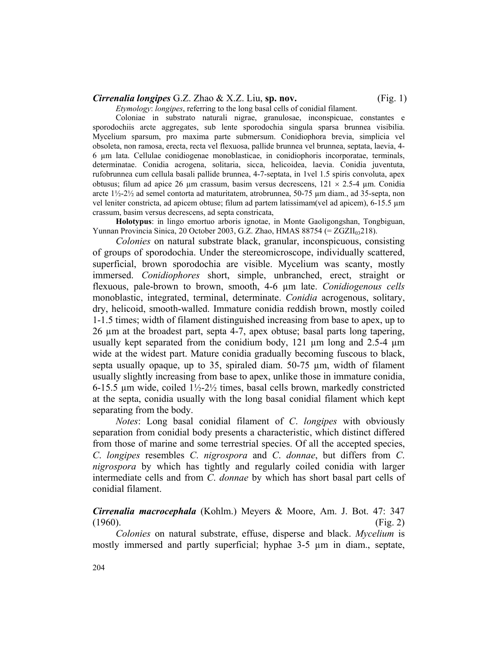### *Cirrenalia longipes* G.Z. Zhao & X.Z. Liu, **sp. nov.** (Fig. 1)

*Etymology*: *longipes*, referring to the long basal cells of conidial filament.

Coloniae in substrato naturali nigrae, granulosae, inconspicuae, constantes e sporodochiis arcte aggregates, sub lente sporodochia singula sparsa brunnea visibilia. Mycelium sparsum, pro maxima parte submersum. Conidiophora brevia, simplicia vel obsoleta, non ramosa, erecta, recta vel flexuosa, pallide brunnea vel brunnea, septata, laevia, 4- 6 µm lata. Cellulae conidiogenae monoblasticae, in conidiophoris incorporatae, terminals, determinatae. Conidia acrogena, solitaria, sicca, helicoidea, laevia. Conidia juventuta, rufobrunnea cum cellula basali pallide brunnea, 4-7-septata, in 1vel 1.5 spiris convoluta, apex obtusus; filum ad apice 26 µm crassum, basim versus decrescens,  $121 \times 2.5-4$  µm. Conidia arcte 1½-2½ ad semel contorta ad maturitatem, atrobrunnea, 50-75 µm diam., ad 35-septa, non vel leniter constricta, ad apicem obtuse; filum ad partem latissimam(vel ad apicem), 6-15.5 µm crassum, basim versus decrescens, ad septa constricata,

**Holotypus**: in lingo emortuo arboris ignotae, in Monte Gaoligongshan, Tongbiguan, Yunnan Provincia Sinica, 20 October 2003, G.Z. Zhao, HMAS 88754 (=  $ZGZII_{03}218$ ).

*Colonies* on natural substrate black, granular, inconspicuous, consisting of groups of sporodochia. Under the stereomicroscope, individually scattered, superficial, brown sporodochia are visible. Mycelium was scanty, mostly immersed. *Conidiophores* short, simple, unbranched, erect, straight or flexuous, pale-brown to brown, smooth, 4-6 µm late. *Conidiogenous cells* monoblastic, integrated, terminal, determinate. *Conidia* acrogenous, solitary, dry, helicoid, smooth-walled. Immature conidia reddish brown, mostly coiled 1-1.5 times; width of filament distinguished increasing from base to apex, up to 26 µm at the broadest part, septa 4-7, apex obtuse; basal parts long tapering, usually kept separated from the conidium body,  $121 \text{ µm}$  long and  $2.5-4 \text{ µm}$ wide at the widest part. Mature conidia gradually becoming fuscous to black, septa usually opaque, up to 35, spiraled diam. 50-75 µm, width of filament usually slightly increasing from base to apex, unlike those in immature conidia, 6-15.5  $\mu$ m wide, coiled  $1\frac{1}{2}$ -2 $\frac{1}{2}$  times, basal cells brown, markedly constricted at the septa, conidia usually with the long basal conidial filament which kept separating from the body.

*Notes*: Long basal conidial filament of *C*. *longipes* with obviously separation from conidial body presents a characteristic, which distinct differed from those of marine and some terrestrial species. Of all the accepted species, *C*. *longipes* resembles *C*. *nigrospora* and *C*. *donnae*, but differs from *C*. *nigrospora* by which has tightly and regularly coiled conidia with larger intermediate cells and from *C*. *donnae* by which has short basal part cells of conidial filament.

*Cirrenalia macrocephala* (Kohlm.) Meyers & Moore, Am. J. Bot. 47: 347  $(1960)$ . (Fig. 2)

*Colonies* on natural substrate, effuse, disperse and black. *Mycelium* is mostly immersed and partly superficial; hyphae 3-5 µm in diam., septate,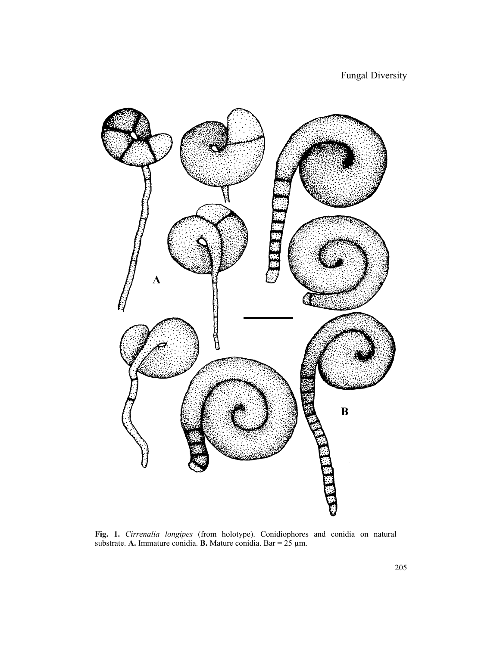

**Fig. 1.** *Cirrenalia longipes* (from holotype). Conidiophores and conidia on natural substrate. **A.** Immature conidia. **B.** Mature conidia. Bar = 25 µm.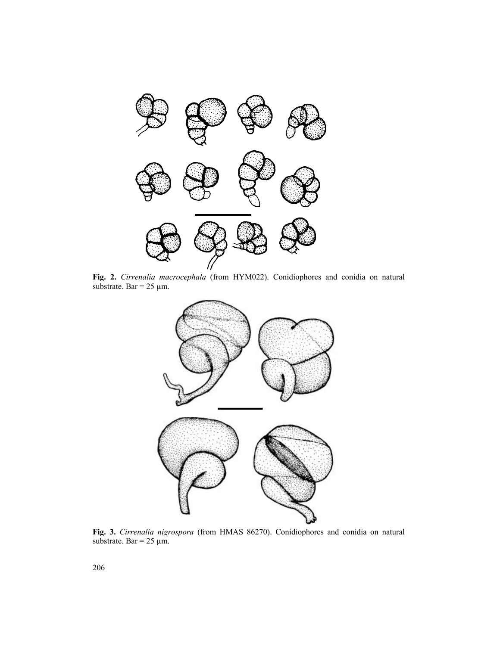

**Fig. 2.** *Cirrenalia macrocephala* (from HYM022). Conidiophores and conidia on natural substrate. Bar =  $25 \mu m$ .



**Fig. 3.** *Cirrenalia nigrospora* (from HMAS 86270). Conidiophores and conidia on natural substrate. Bar =  $25 \mu m$ .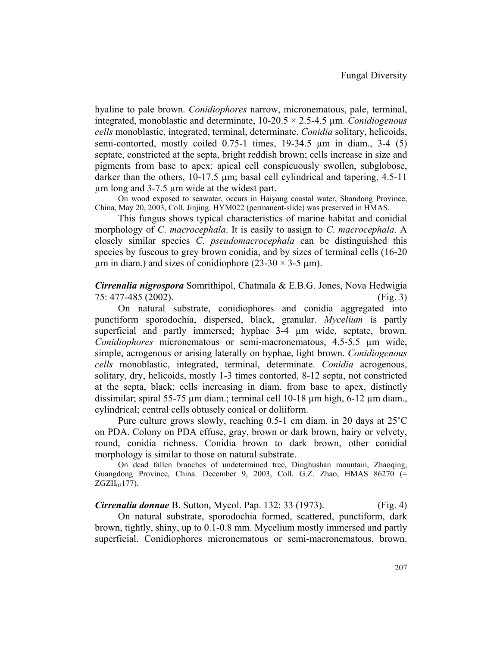hyaline to pale brown. *Conidiophores* narrow, micronematous, pale, terminal, integrated, monoblastic and determinate, 10-20.5 × 2.5-4.5 µm. *Conidiogenous cells* monoblastic, integrated, terminal, determinate. *Conidia* solitary, helicoids, semi-contorted, mostly coiled  $0.75$ -1 times,  $19-34.5 \mu m$  in diam.,  $3-4(5)$ septate, constricted at the septa, bright reddish brown; cells increase in size and pigments from base to apex: apical cell conspicuously swollen, subglobose, darker than the others,  $10-17.5 \mu m$ ; basal cell cylindrical and tapering,  $4.5-11$ µm long and 3-7.5 µm wide at the widest part.

On wood exposed to seawater, occurs in Haiyang coastal water, Shandong Province, China, May 20, 2003, Coll. Jinjing. HYM022 (permanent-slide) was preserved in HMAS.

This fungus shows typical characteristics of marine habitat and conidial morphology of *C*. *macrocephala*. It is easily to assign to *C*. *macrocephala*. A closely similar species *C*. *pseudomacrocephala* can be distinguished this species by fuscous to grey brown conidia, and by sizes of terminal cells (16-20  $\mu$ m in diam.) and sizes of conidiophore (23-30  $\times$  3-5  $\mu$ m).

*Cirrenalia nigrospora* Somrithipol, Chatmala & E.B.G. Jones, Nova Hedwigia 75: 477-485 (2002). (Fig. 3)

On natural substrate, conidiophores and conidia aggregated into punctiform sporodochia, dispersed, black, granular. *Mycelium* is partly superficial and partly immersed; hyphae 3-4 µm wide, septate, brown. *Conidiophores* micronematous or semi-macronematous, 4.5-5.5 µm wide, simple, acrogenous or arising laterally on hyphae, light brown. *Conidiogenous cells* monoblastic, integrated, terminal, determinate. *Conidia* acrogenous, solitary, dry, helicoids, mostly 1-3 times contorted, 8-12 septa, not constricted at the septa, black; cells increasing in diam. from base to apex, distinctly dissimilar; spiral 55-75 µm diam.; terminal cell 10-18 µm high, 6-12 µm diam., cylindrical; central cells obtusely conical or doliiform.

Pure culture grows slowly, reaching 0.5-1 cm diam. in 20 days at 25˚C on PDA. Colony on PDA effuse, gray, brown or dark brown, hairy or velvety, round, conidia richness. Conidia brown to dark brown, other conidial morphology is similar to those on natural substrate.

On dead fallen branches of undetermined tree, Dinghushan mountain, Zhaoqing, Guangdong Province, China. December 9, 2003, Coll. G.Z. Zhao, HMAS 86270 (=  $ZGZII_{03}177$ ).

*Cirrenalia donnae* B. Sutton, Mycol. Pap. 132: 33 (1973). (Fig. 4) On natural substrate, sporodochia formed, scattered, punctiform, dark brown, tightly, shiny, up to 0.1-0.8 mm. Mycelium mostly immersed and partly superficial. Conidiophores micronematous or semi-macronematous, brown.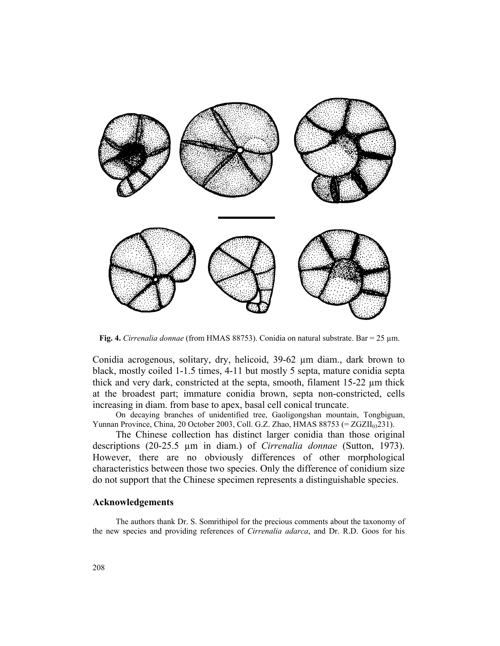

**Fig. 4.** *Cirrenalia donnae* (from HMAS 88753). Conidia on natural substrate. Bar = 25 µm.

Conidia acrogenous, solitary, dry, helicoid, 39-62 µm diam., dark brown to black, mostly coiled 1-1.5 times, 4-11 but mostly 5 septa, mature conidia septa thick and very dark, constricted at the septa, smooth, filament 15-22 µm thick at the broadest part; immature conidia brown, septa non-constricted, cells increasing in diam. from base to apex, basal cell conical truncate.

On decaying branches of unidentified tree, Gaoligongshan mountain, Tongbiguan, Yunnan Province, China, 20 October 2003, Coll. G.Z. Zhao, HMAS 88753 (= ZGZII<sub>03</sub>231).

The Chinese collection has distinct larger conidia than those original descriptions (20-25.5 µm in diam.) of *Cirrenalia donnae* (Sutton, 1973). However, there are no obviously differences of other morphological characteristics between those two species. Only the difference of conidium size do not support that the Chinese specimen represents a distinguishable species.

### **Acknowledgements**

The authors thank Dr. S. Somrithipol for the precious comments about the taxonomy of the new species and providing references of *Cirrenalia adarca*, and Dr. R.D. Goos for his